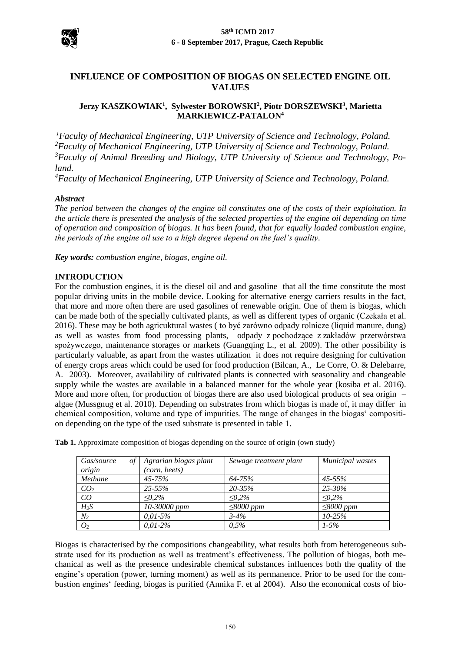

# **INFLUENCE OF COMPOSITION OF BIOGAS ON SELECTED ENGINE OIL VALUES**

## **Jerzy KASZKOWIAK<sup>1</sup> , Sylwester BOROWSKI<sup>2</sup> , Piotr DORSZEWSKI<sup>3</sup> , Marietta MARKIEWICZ-PATALON<sup>4</sup>**

*Faculty of Mechanical Engineering, UTP University of Science and Technology, Poland. Faculty of Mechanical Engineering, UTP University of Science and Technology, Poland. Faculty of Animal Breeding and Biology, UTP University of Science and Technology, Poland.* 

*<sup>4</sup>Faculty of Mechanical Engineering, UTP University of Science and Technology, Poland.*

### *Abstract*

*The period between the changes of the engine oil constitutes one of the costs of their exploitation. In the article there is presented the analysis of the selected properties of the engine oil depending on time of operation and composition of biogas. It has been found, that for equally loaded combustion engine, the periods of the engine oil use to a high degree depend on the fuel's quality.*

*Key words: combustion engine, biogas, engine oil.*

#### **INTRODUCTION**

For the combustion engines, it is the diesel oil and and gasoline that all the time constitute the most popular driving units in the mobile device. Looking for alternative energy carriers results in the fact, that more and more often there are used gasolines of renewable origin. One of them is biogas, which can be made both of the specially cultivated plants, as well as different types of organic (Czekała et al. 2016). These may be both agricuktural wastes ( to być zarówno odpady rolnicze (liquid manure, dung) as well as wastes from food processing plants, odpady z pochodzące z zakładów przetwórstwa spożywczego, maintenance storages or markets [\(Guangqing L.](http://www.sciencedirect.com/science/article/pii/S0960852409005173), et al. 2009). The other possibility is particularly valuable, as apart from the wastes utilization it does not require designing for cultivation of energy crops areas which could be used for food production (Bilcan, A., Le Corre, O. & Delebarre, A. 2003). Moreover, availability of cultivated plants is connected with seasonality and changeable supply while the wastes are available in a balanced manner for the whole year (kosiba et al. 2016). More and more often, for production of biogas there are also used biological products of sea origin – algae [\(Mussgnug](http://www.sciencedirect.com/science/article/pii/S016816561000369X) et al. 2010). Depending on substrates from which biogas is made of, it may differ in chemical composition, volume and type of impurities. The range of changes in the biogas' composition depending on the type of the used substrate is presented in table 1.

| $\sigma f$<br>Gas/source<br>origin | Agrarian biogas plant<br>(corn, beets) | Sewage treatment plant | Municipal wastes |
|------------------------------------|----------------------------------------|------------------------|------------------|
| Methane                            | $45 - 75%$                             | 64-75%                 | 45-55%           |
| CO <sub>2</sub>                    | $25 - 55\%$                            | $20 - 35\%$            | $25 - 30\%$      |
| CO                                 | $\leq 0.2\%$                           | $\leq 0.2\%$           | $\leq 0.2\%$     |
| $H_2S$                             | 10-30000 ppm                           | $\leq$ 8000 ppm        | $\leq$ 8000 ppm  |
| $N_2$                              | $0.01 - 5\%$                           | $3 - 4\%$              | $10 - 25%$       |
| O <sub>2</sub>                     | $0.01 - 2\%$                           | 0,5%                   | $1 - 5\%$        |

**Tab 1.** Approximate composition of biogas depending on the source of origin (own study)

Biogas is characterised by the compositions changeability, what results both from heterogeneous substrate used for its production as well as treatment's effectiveness. The pollution of biogas, both mechanical as well as the presence undesirable chemical substances influences both the quality of the engine's operation (power, turning moment) as well as its permanence. Prior to be used for the combustion engines' feeding, biogas is purified (Annika F. et al 2004). Also the economical costs of bio-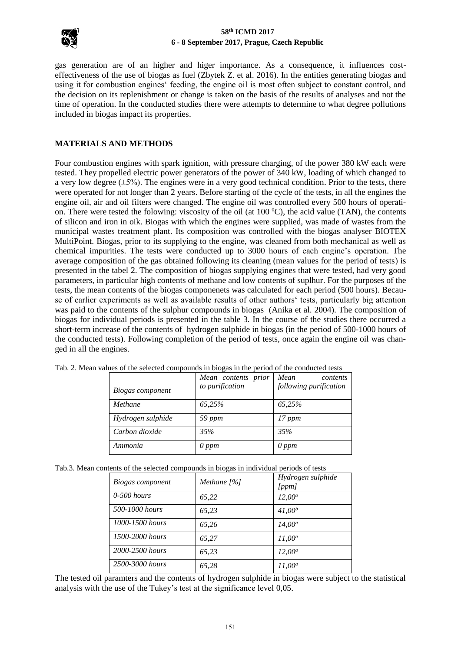

### **58th ICMD 2017 6 - 8 September 2017, Prague, Czech Republic**

gas generation are of an higher and higer importance. As a consequence, it influences costeffectiveness of the use of biogas as fuel (Zbytek Z. et al. 2016). In the entities generating biogas and using it for combustion engines' feeding, the engine oil is most often subject to constant control, and the decision on its replenishment or change is taken on the basis of the results of analyses and not the time of operation. In the conducted studies there were attempts to determine to what degree pollutions included in biogas impact its properties.

## **MATERIALS AND METHODS**

Four combustion engines with spark ignition, with pressure charging, of the power 380 kW each were tested. They propelled electric power generators of the power of 340 kW, loading of which changed to a very low degree  $(\pm 5\%)$ . The engines were in a very good technical condition. Prior to the tests, there were operated for not longer than 2 years. Before starting of the cycle of the tests, in all the engines the engine oil, air and oil filters were changed. The engine oil was controlled every 500 hours of operation. There were tested the folowing: viscosity of the oil (at  $100\degree C$ ), the acid value (TAN), the contents of silicon and iron in oik. Biogas with which the engines were supplied, was made of wastes from the municipal wastes treatment plant. Its composition was controlled with the biogas analyser BIOTEX MultiPoint. Biogas, prior to its supplying to the engine, was cleaned from both mechanical as well as chemical impurities. The tests were conducted up to 3000 hours of each engine's operation. The average composition of the gas obtained following its cleaning (mean values for the period of tests) is presented in the tabel 2. The composition of biogas supplying engines that were tested, had very good parameters, in particular high contents of methane and low contents of suplhur. For the purposes of the tests, the mean contents of the biogas componenets was calculated for each period (500 hours). Because of earlier experiments as well as available results of other authors' tests, particularly big attention was paid to the contents of the sulphur compounds in biogas (Anika et al. 2004). The composition of biogas for individual periods is presented in the table 3. In the course of the studies there occurred a short-term increase of the contents of hydrogen sulphide in biogas (in the period of 500-1000 hours of the conducted tests). Following completion of the period of tests, once again the engine oil was changed in all the engines.

| acs of the science compounds in progas in the period of the conducted tests |                     |                        |  |  |
|-----------------------------------------------------------------------------|---------------------|------------------------|--|--|
|                                                                             | Mean contents prior | Mean<br>contents       |  |  |
| Biogas component                                                            | to purification     | following purification |  |  |
| Methane                                                                     | 65,25%              | 65,25%                 |  |  |
| Hydrogen sulphide                                                           | 59 ppm              | 17 ppm                 |  |  |
| Carbon dioxide                                                              | 35%                 | 35%                    |  |  |
| Ammonia                                                                     | $0$ ppm             | $0$ ppm                |  |  |

|  | Tab. 2. Mean values of the selected compounds in biogas in the period of the conducted tests |
|--|----------------------------------------------------------------------------------------------|
|  |                                                                                              |

Tab.3. Mean contents of the selected compounds in biogas in individual periods of tests

| Biogas component | Methane $[%]$ | Hydrogen sulphide<br>[ppm] |
|------------------|---------------|----------------------------|
| $0-500$ hours    | 65,22         | $12.00^a$                  |
| 500-1000 hours   | 65,23         | $41,00^{b}$                |
| 1000-1500 hours  | 65,26         | $14.00^a$                  |
| 1500-2000 hours  | 65,27         | $11.00^a$                  |
| 2000-2500 hours  | 65,23         | $12.00^a$                  |
| 2500-3000 hours  | 65,28         | $11,00^a$                  |

The tested oil paramters and the contents of hydrogen sulphide in biogas were subject to the statistical analysis with the use of the Tukey's test at the significance level 0,05.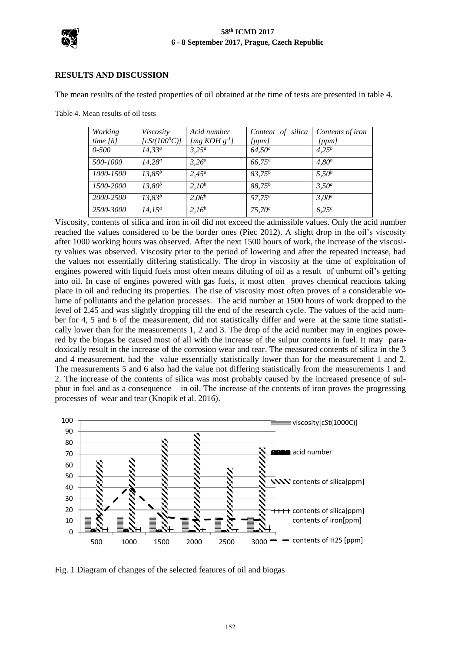

### **RESULTS AND DISCUSSION**

The mean results of the tested properties of oil obtained at the time of tests are presented in table 4.

Table 4. Mean results of oil tests

| Working    | Viscosity       | Acid number         | Content of silica | Contents of iron |
|------------|-----------------|---------------------|-------------------|------------------|
| time $[h]$ | $[cSt(100^0C)]$ | [ $mg KOH g^{-1}$ ] | [ppm]             | [ppm]            |
| $0 - 500$  | $14,33^a$       | $3.25^a$            | $64,50^a$         | $4.25^{b}$       |
| 500-1000   | $14.28^a$       | $3,26^a$            | $66,75^{\circ}$   | $4,80^{b}$       |
| 1000-1500  | $13.85^{b}$     | $2.45^a$            | $83.75^{b}$       | $5.50^{b}$       |
| 1500-2000  | $13,80^{b}$     | $2.10^{b}$          | $88,75^{b}$       | $3,50^a$         |
| 2000-2500  | $13.83^{b}$     | $2,06^b$            | $57,75^a$         | $3.00^a$         |
| 2500-3000  | $14.15^a$       | $2,16^{b}$          | $75,70^a$         | 6.25c            |

Viscosity, contents of silica and iron in oil did not exceed the admissible values. Only the acid number reached the values considered to be the border ones (Piec 2012). A slight drop in the oil's viscosity after 1000 working hours was observed. After the next 1500 hours of work, the increase of the viscosity values was observed. Viscosity prior to the period of lowering and after the repeated increase, had the values not essentially differing statistically. The drop in viscosity at the time of exploitation of engines powered with liquid fuels most often means diluting of oil as a result of unburnt oil's getting into oil. In case of engines powered with gas fuels, it most often proves chemical reactions taking place in oil and reducing its properties. The rise of viscosity most often proves of a considerable volume of pollutants and the gelation processes. The acid number at 1500 hours of work dropped to the level of 2,45 and was slightly dropping till the end of the research cycle. The values of the acid number for 4, 5 and 6 of the measurement, did not statistically differ and were at the same time statistically lower than for the measurements 1, 2 and 3. The drop of the acid number may in engines powered by the biogas be caused most of all with the increase of the sulpur contents in fuel. It may paradoxically result in the increase of the corrosion wear and tear. The measured contents of silica in the 3 and 4 measurement, had the value essentially statistically lower than for the measurement 1 and 2. The measurements 5 and 6 also had the value not differing statistically from the measurements 1 and 2. The increase of the contents of silica was most probably caused by the increased presence of sulphur in fuel and as a consequence – in oil. The increase of the contents of iron proves the progressing processes of wear and tear (Knopik et al. 2016).



Fig. 1 Diagram of changes of the selected features of oil and biogas